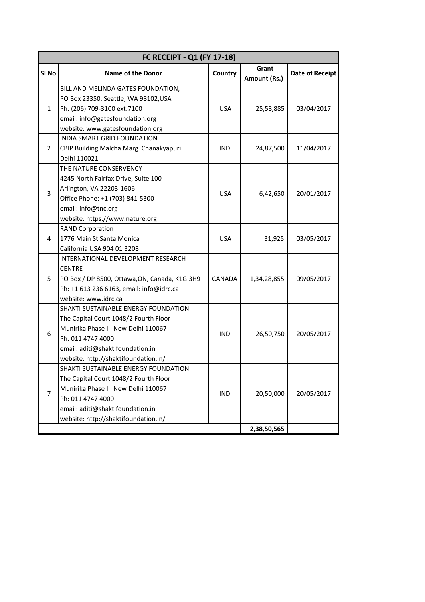| FC RECEIPT - Q1 (FY 17-18) |                                                                                                                                                                                                                       |            |                       |                        |
|----------------------------|-----------------------------------------------------------------------------------------------------------------------------------------------------------------------------------------------------------------------|------------|-----------------------|------------------------|
| SI <sub>No</sub>           | <b>Name of the Donor</b>                                                                                                                                                                                              | Country    | Grant<br>Amount (Rs.) | <b>Date of Receipt</b> |
| $\mathbf{1}$               | BILL AND MELINDA GATES FOUNDATION,<br>PO Box 23350, Seattle, WA 98102, USA<br>Ph: (206) 709-3100 ext.7100<br>email: info@gatesfoundation.org<br>website: www.gatesfoundation.org                                      | <b>USA</b> | 25,58,885             | 03/04/2017             |
| $\overline{2}$             | INDIA SMART GRID FOUNDATION<br>CBIP Building Malcha Marg Chanakyapuri<br>Delhi 110021                                                                                                                                 | <b>IND</b> | 24,87,500             | 11/04/2017             |
| 3                          | THE NATURE CONSERVENCY<br>4245 North Fairfax Drive, Suite 100<br>Arlington, VA 22203-1606<br>Office Phone: +1 (703) 841-5300<br>email: info@tnc.org<br>website: https://www.nature.org                                | <b>USA</b> | 6,42,650              | 20/01/2017             |
| 4                          | <b>RAND Corporation</b><br>1776 Main St Santa Monica<br>California USA 904 01 3208                                                                                                                                    | <b>USA</b> | 31,925                | 03/05/2017             |
| 5                          | INTERNATIONAL DEVELOPMENT RESEARCH<br><b>CENTRE</b><br>PO Box / DP 8500, Ottawa, ON, Canada, K1G 3H9<br>Ph: +1 613 236 6163, email: info@idrc.ca<br>website: www.idrc.ca                                              | CANADA     | 1,34,28,855           | 09/05/2017             |
| 6                          | SHAKTI SUSTAINABLE ENERGY FOUNDATION<br>The Capital Court 1048/2 Fourth Floor<br>Munirika Phase III New Delhi 110067<br>Ph: 011 4747 4000<br>email: aditi@shaktifoundation.in<br>website: http://shaktifoundation.in/ | <b>IND</b> | 26,50,750             | 20/05/2017             |
| $\overline{7}$             | SHAKTI SUSTAINABLE ENERGY FOUNDATION<br>The Capital Court 1048/2 Fourth Floor<br>Munirika Phase III New Delhi 110067<br>Ph: 011 4747 4000<br>email: aditi@shaktifoundation.in<br>website: http://shaktifoundation.in/ | <b>IND</b> | 20,50,000             | 20/05/2017             |
|                            |                                                                                                                                                                                                                       |            | 2,38,50,565           |                        |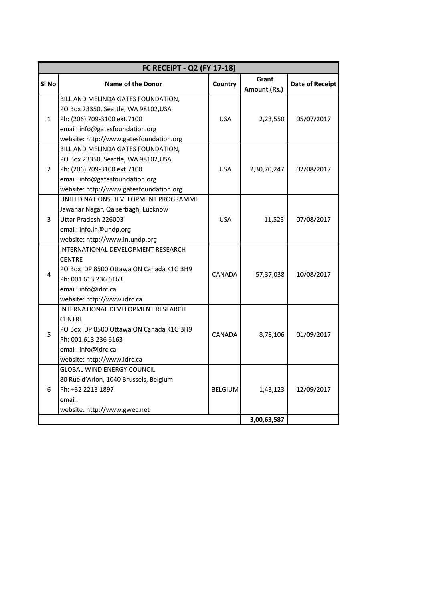| FC RECEIPT - Q2 (FY 17-18) |                                                                                                                                                                                                                                                                       |                |                       |                        |
|----------------------------|-----------------------------------------------------------------------------------------------------------------------------------------------------------------------------------------------------------------------------------------------------------------------|----------------|-----------------------|------------------------|
| SI No                      | <b>Name of the Donor</b>                                                                                                                                                                                                                                              | Country        | Grant<br>Amount (Rs.) | <b>Date of Receipt</b> |
| $\mathbf{1}$               | BILL AND MELINDA GATES FOUNDATION,<br>PO Box 23350, Seattle, WA 98102, USA<br>Ph: (206) 709-3100 ext.7100<br>email: info@gatesfoundation.org<br>website: http://www.gatesfoundation.org<br>BILL AND MELINDA GATES FOUNDATION,<br>PO Box 23350, Seattle, WA 98102, USA | <b>USA</b>     | 2,23,550              | 05/07/2017             |
| $\overline{2}$             | Ph: (206) 709-3100 ext.7100<br>email: info@gatesfoundation.org<br>website: http://www.gatesfoundation.org                                                                                                                                                             | <b>USA</b>     | 2,30,70,247           | 02/08/2017             |
| 3                          | UNITED NATIONS DEVELOPMENT PROGRAMME<br>Jawahar Nagar, Qaiserbagh, Lucknow<br>Uttar Pradesh 226003<br>email: info.in@undp.org<br>website: http://www.in.undp.org                                                                                                      | <b>USA</b>     | 11,523                | 07/08/2017             |
| 4                          | INTERNATIONAL DEVELOPMENT RESEARCH<br><b>CENTRE</b><br>PO Box DP 8500 Ottawa ON Canada K1G 3H9<br>Ph: 001 613 236 6163<br>email: info@idrc.ca<br>website: http://www.idrc.ca                                                                                          | CANADA         | 57,37,038             | 10/08/2017             |
| 5                          | INTERNATIONAL DEVELOPMENT RESEARCH<br><b>CENTRE</b><br>PO Box DP 8500 Ottawa ON Canada K1G 3H9<br>Ph: 001 613 236 6163<br>email: info@idrc.ca<br>website: http://www.idrc.ca                                                                                          | CANADA         | 8,78,106              | 01/09/2017             |
| 6                          | <b>GLOBAL WIND ENERGY COUNCIL</b><br>80 Rue d'Arlon, 1040 Brussels, Belgium<br>Ph: +32 2213 1897<br>email:<br>website: http://www.gwec.net                                                                                                                            | <b>BELGIUM</b> | 1,43,123              | 12/09/2017             |
|                            |                                                                                                                                                                                                                                                                       |                | 3,00,63,587           |                        |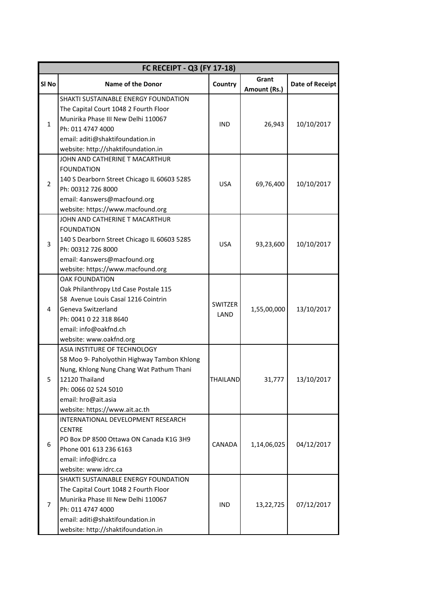| FC RECEIPT - Q3 (FY 17-18) |                                                                                                                                                                                                                            |                        |                       |                        |
|----------------------------|----------------------------------------------------------------------------------------------------------------------------------------------------------------------------------------------------------------------------|------------------------|-----------------------|------------------------|
| SI <sub>No</sub>           | <b>Name of the Donor</b>                                                                                                                                                                                                   | Country                | Grant<br>Amount (Rs.) | <b>Date of Receipt</b> |
| $\mathbf{1}$               | SHAKTI SUSTAINABLE ENERGY FOUNDATION<br>The Capital Court 1048 2 Fourth Floor<br>Munirika Phase III New Delhi 110067<br>Ph: 011 4747 4000<br>email: aditi@shaktifoundation.in<br>website: http://shaktifoundation.in       | <b>IND</b>             | 26,943                | 10/10/2017             |
| $\overline{2}$             | JOHN AND CATHERINE T MACARTHUR<br><b>FOUNDATION</b><br>140 S Dearborn Street Chicago IL 60603 5285<br>Ph: 00312 726 8000<br>email: 4answers@macfound.org<br>website: https://www.macfound.org                              | <b>USA</b>             | 69,76,400             | 10/10/2017             |
| 3                          | JOHN AND CATHERINE T MACARTHUR<br><b>FOUNDATION</b><br>140 S Dearborn Street Chicago IL 60603 5285<br>Ph: 00312 726 8000<br>email: 4answers@macfound.org<br>website: https://www.macfound.org                              | <b>USA</b>             | 93,23,600             | 10/10/2017             |
| 4                          | <b>OAK FOUNDATION</b><br>Oak Philanthropy Ltd Case Postale 115<br>58 Avenue Louis Casaï 1216 Cointrin<br>Geneva Switzerland<br>Ph: 0041 0 22 318 8640<br>email: info@oakfnd.ch<br>website: www.oakfnd.org                  | <b>SWITZER</b><br>LAND | 1,55,00,000           | 13/10/2017             |
|                            | ASIA INSTITURE OF TECHNOLOGY<br>58 Moo 9- Paholyothin Highway Tambon Khlong<br>Nung, Khlong Nung Chang Wat Pathum Thani<br>12120 Thailand<br>Ph: 0066 02 524 5010<br>email: hro@ait.asia<br>website: https://www.ait.ac.th | THAILAND               | 31,777                | 13/10/2017             |
| 6                          | INTERNATIONAL DEVELOPMENT RESEARCH<br><b>CENTRE</b><br>PO Box DP 8500 Ottawa ON Canada K1G 3H9<br>Phone 001 613 236 6163<br>email: info@idrc.ca<br>website: www.idrc.ca                                                    | <b>CANADA</b>          | 1,14,06,025           | 04/12/2017             |
| 7                          | SHAKTI SUSTAINABLE ENERGY FOUNDATION<br>The Capital Court 1048 2 Fourth Floor<br>Munirika Phase III New Delhi 110067<br>Ph: 011 4747 4000<br>email: aditi@shaktifoundation.in<br>website: http://shaktifoundation.in       | IND                    | 13,22,725             | 07/12/2017             |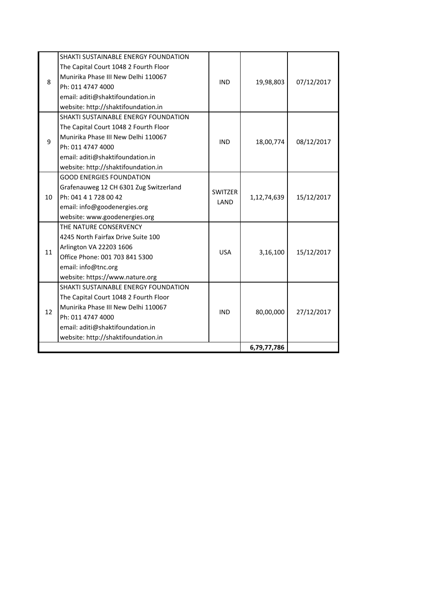| 8  | SHAKTI SUSTAINABLE ENERGY FOUNDATION   | <b>IND</b>             | 19,98,803   | 07/12/2017 |
|----|----------------------------------------|------------------------|-------------|------------|
|    | The Capital Court 1048 2 Fourth Floor  |                        |             |            |
|    | Munirika Phase III New Delhi 110067    |                        |             |            |
|    | Ph: 011 4747 4000                      |                        |             |            |
|    | email: aditi@shaktifoundation.in       |                        |             |            |
|    | website: http://shaktifoundation.in    |                        |             |            |
|    | SHAKTI SUSTAINABLE ENERGY FOUNDATION   |                        | 18,00,774   | 08/12/2017 |
|    | The Capital Court 1048 2 Fourth Floor  |                        |             |            |
| 9  | Munirika Phase III New Delhi 110067    | <b>IND</b>             |             |            |
|    | Ph: 011 4747 4000                      |                        |             |            |
|    | email: aditi@shaktifoundation.in       |                        |             |            |
|    | website: http://shaktifoundation.in    |                        |             |            |
|    | <b>GOOD ENERGIES FOUNDATION</b>        |                        | 1,12,74,639 | 15/12/2017 |
|    | Grafenauweg 12 CH 6301 Zug Switzerland | <b>SWITZER</b><br>LAND |             |            |
| 10 | Ph: 041 4 1 728 00 42                  |                        |             |            |
|    | email: info@goodenergies.org           |                        |             |            |
|    | website: www.goodenergies.org          |                        |             |            |
|    | THE NATURE CONSERVENCY                 | <b>USA</b>             | 3,16,100    | 15/12/2017 |
|    | 4245 North Fairfax Drive Suite 100     |                        |             |            |
| 11 | Arlington VA 22203 1606                |                        |             |            |
|    | Office Phone: 001 703 841 5300         |                        |             |            |
|    | email: info@tnc.org                    |                        |             |            |
|    | website: https://www.nature.org        |                        |             |            |
|    | SHAKTI SUSTAINABLE ENERGY FOUNDATION   | <b>IND</b>             | 80,00,000   | 27/12/2017 |
|    | The Capital Court 1048 2 Fourth Floor  |                        |             |            |
| 12 | Munirika Phase III New Delhi 110067    |                        |             |            |
|    | Ph: 011 4747 4000                      |                        |             |            |
|    | email: aditi@shaktifoundation.in       |                        |             |            |
|    | website: http://shaktifoundation.in    |                        |             |            |
|    |                                        |                        | 6,79,77,786 |            |